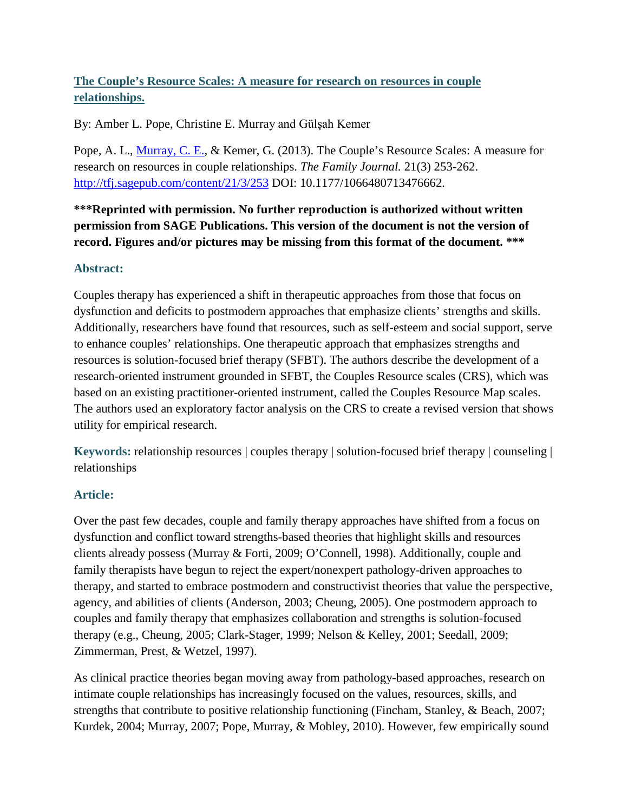# **The Couple's Resource Scales: A measure for research on resources in couple relationships.**

By: Amber L. Pope, Christine E. Murray and Gülşah Kemer

Pope, A. L., [Murray, C. E.,](http://libres.uncg.edu/ir/uncg/clist.aspx?id=894) & Kemer, G. (2013). The Couple's Resource Scales: A measure for research on resources in couple relationships. *The Family Journal.* 21(3) 253-262. <http://tfj.sagepub.com/content/21/3/253> DOI: 10.1177/1066480713476662.

**\*\*\*Reprinted with permission. No further reproduction is authorized without written permission from SAGE Publications. This version of the document is not the version of record. Figures and/or pictures may be missing from this format of the document. \*\*\***

## **Abstract:**

Couples therapy has experienced a shift in therapeutic approaches from those that focus on dysfunction and deficits to postmodern approaches that emphasize clients' strengths and skills. Additionally, researchers have found that resources, such as self-esteem and social support, serve to enhance couples' relationships. One therapeutic approach that emphasizes strengths and resources is solution-focused brief therapy (SFBT). The authors describe the development of a research-oriented instrument grounded in SFBT, the Couples Resource scales (CRS), which was based on an existing practitioner-oriented instrument, called the Couples Resource Map scales. The authors used an exploratory factor analysis on the CRS to create a revised version that shows utility for empirical research.

**Keywords:** relationship resources | couples therapy | solution-focused brief therapy | counseling | relationships

# **Article:**

Over the past few decades, couple and family therapy approaches have shifted from a focus on dysfunction and conflict toward strengths-based theories that highlight skills and resources clients already possess (Murray & Forti, 2009; O'Connell, 1998). Additionally, couple and family therapists have begun to reject the expert/nonexpert pathology-driven approaches to therapy, and started to embrace postmodern and constructivist theories that value the perspective, agency, and abilities of clients (Anderson, 2003; Cheung, 2005). One postmodern approach to couples and family therapy that emphasizes collaboration and strengths is solution-focused therapy (e.g., Cheung, 2005; Clark-Stager, 1999; Nelson & Kelley, 2001; Seedall, 2009; Zimmerman, Prest, & Wetzel, 1997).

As clinical practice theories began moving away from pathology-based approaches, research on intimate couple relationships has increasingly focused on the values, resources, skills, and strengths that contribute to positive relationship functioning (Fincham, Stanley, & Beach, 2007; Kurdek, 2004; Murray, 2007; Pope, Murray, & Mobley, 2010). However, few empirically sound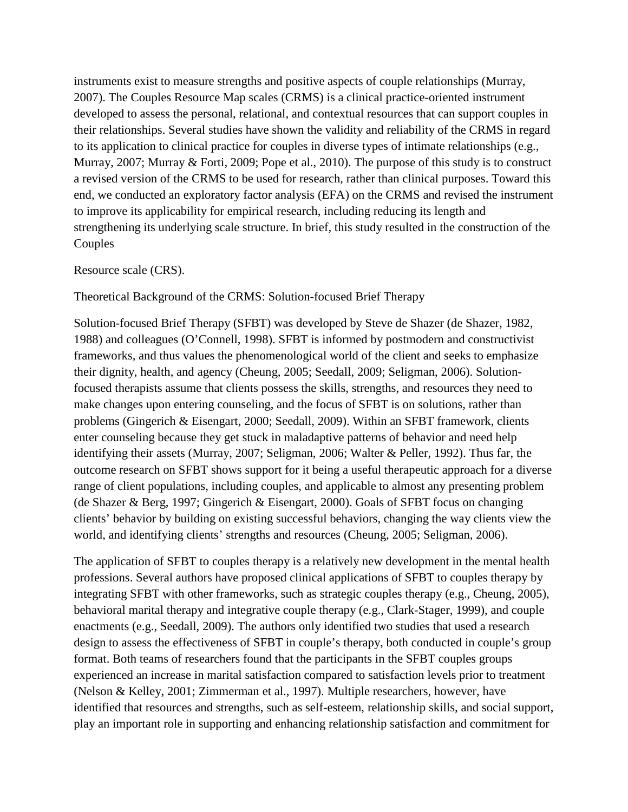instruments exist to measure strengths and positive aspects of couple relationships (Murray, 2007). The Couples Resource Map scales (CRMS) is a clinical practice-oriented instrument developed to assess the personal, relational, and contextual resources that can support couples in their relationships. Several studies have shown the validity and reliability of the CRMS in regard to its application to clinical practice for couples in diverse types of intimate relationships (e.g., Murray, 2007; Murray & Forti, 2009; Pope et al., 2010). The purpose of this study is to construct a revised version of the CRMS to be used for research, rather than clinical purposes. Toward this end, we conducted an exploratory factor analysis (EFA) on the CRMS and revised the instrument to improve its applicability for empirical research, including reducing its length and strengthening its underlying scale structure. In brief, this study resulted in the construction of the Couples

#### Resource scale (CRS).

#### Theoretical Background of the CRMS: Solution-focused Brief Therapy

Solution-focused Brief Therapy (SFBT) was developed by Steve de Shazer (de Shazer, 1982, 1988) and colleagues (O'Connell, 1998). SFBT is informed by postmodern and constructivist frameworks, and thus values the phenomenological world of the client and seeks to emphasize their dignity, health, and agency (Cheung, 2005; Seedall, 2009; Seligman, 2006). Solutionfocused therapists assume that clients possess the skills, strengths, and resources they need to make changes upon entering counseling, and the focus of SFBT is on solutions, rather than problems (Gingerich & Eisengart, 2000; Seedall, 2009). Within an SFBT framework, clients enter counseling because they get stuck in maladaptive patterns of behavior and need help identifying their assets (Murray, 2007; Seligman, 2006; Walter & Peller, 1992). Thus far, the outcome research on SFBT shows support for it being a useful therapeutic approach for a diverse range of client populations, including couples, and applicable to almost any presenting problem (de Shazer & Berg, 1997; Gingerich & Eisengart, 2000). Goals of SFBT focus on changing clients' behavior by building on existing successful behaviors, changing the way clients view the world, and identifying clients' strengths and resources (Cheung, 2005; Seligman, 2006).

The application of SFBT to couples therapy is a relatively new development in the mental health professions. Several authors have proposed clinical applications of SFBT to couples therapy by integrating SFBT with other frameworks, such as strategic couples therapy (e.g., Cheung, 2005), behavioral marital therapy and integrative couple therapy (e.g., Clark-Stager, 1999), and couple enactments (e.g., Seedall, 2009). The authors only identified two studies that used a research design to assess the effectiveness of SFBT in couple's therapy, both conducted in couple's group format. Both teams of researchers found that the participants in the SFBT couples groups experienced an increase in marital satisfaction compared to satisfaction levels prior to treatment (Nelson & Kelley, 2001; Zimmerman et al., 1997). Multiple researchers, however, have identified that resources and strengths, such as self-esteem, relationship skills, and social support, play an important role in supporting and enhancing relationship satisfaction and commitment for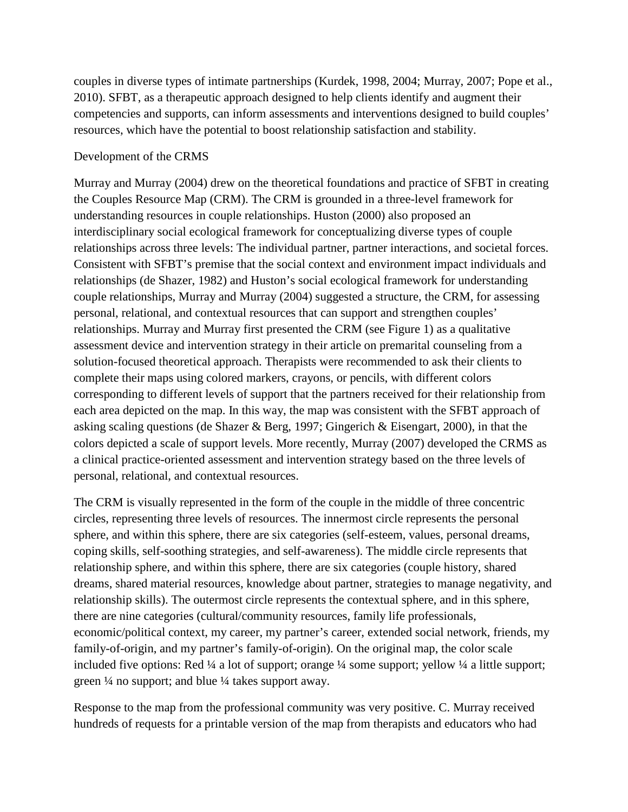couples in diverse types of intimate partnerships (Kurdek, 1998, 2004; Murray, 2007; Pope et al., 2010). SFBT, as a therapeutic approach designed to help clients identify and augment their competencies and supports, can inform assessments and interventions designed to build couples' resources, which have the potential to boost relationship satisfaction and stability.

## Development of the CRMS

Murray and Murray (2004) drew on the theoretical foundations and practice of SFBT in creating the Couples Resource Map (CRM). The CRM is grounded in a three-level framework for understanding resources in couple relationships. Huston (2000) also proposed an interdisciplinary social ecological framework for conceptualizing diverse types of couple relationships across three levels: The individual partner, partner interactions, and societal forces. Consistent with SFBT's premise that the social context and environment impact individuals and relationships (de Shazer, 1982) and Huston's social ecological framework for understanding couple relationships, Murray and Murray (2004) suggested a structure, the CRM, for assessing personal, relational, and contextual resources that can support and strengthen couples' relationships. Murray and Murray first presented the CRM (see Figure 1) as a qualitative assessment device and intervention strategy in their article on premarital counseling from a solution-focused theoretical approach. Therapists were recommended to ask their clients to complete their maps using colored markers, crayons, or pencils, with different colors corresponding to different levels of support that the partners received for their relationship from each area depicted on the map. In this way, the map was consistent with the SFBT approach of asking scaling questions (de Shazer & Berg, 1997; Gingerich & Eisengart, 2000), in that the colors depicted a scale of support levels. More recently, Murray (2007) developed the CRMS as a clinical practice-oriented assessment and intervention strategy based on the three levels of personal, relational, and contextual resources.

The CRM is visually represented in the form of the couple in the middle of three concentric circles, representing three levels of resources. The innermost circle represents the personal sphere, and within this sphere, there are six categories (self-esteem, values, personal dreams, coping skills, self-soothing strategies, and self-awareness). The middle circle represents that relationship sphere, and within this sphere, there are six categories (couple history, shared dreams, shared material resources, knowledge about partner, strategies to manage negativity, and relationship skills). The outermost circle represents the contextual sphere, and in this sphere, there are nine categories (cultural/community resources, family life professionals, economic/political context, my career, my partner's career, extended social network, friends, my family-of-origin, and my partner's family-of-origin). On the original map, the color scale included five options: Red ¼ a lot of support; orange ¼ some support; yellow ¼ a little support; green  $\frac{1}{4}$  no support; and blue  $\frac{1}{4}$  takes support away.

Response to the map from the professional community was very positive. C. Murray received hundreds of requests for a printable version of the map from therapists and educators who had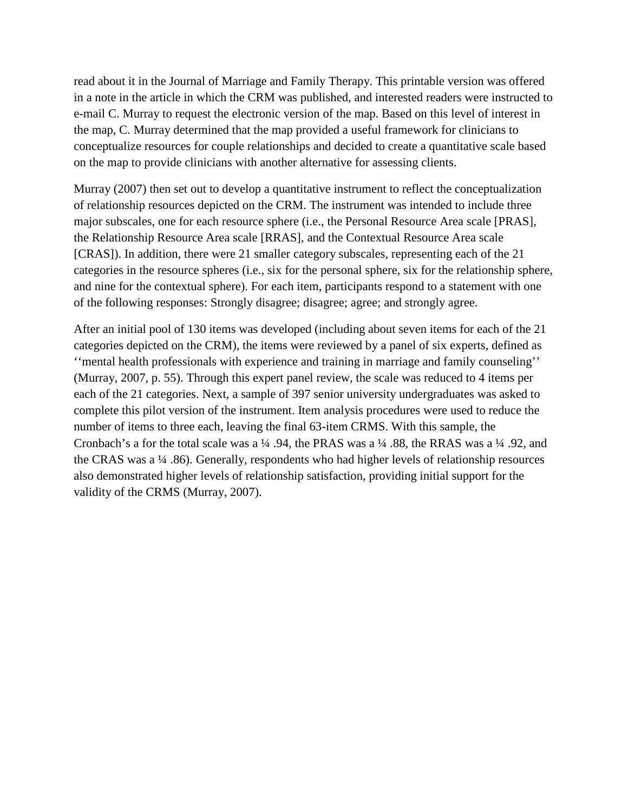read about it in the Journal of Marriage and Family Therapy. This printable version was offered in a note in the article in which the CRM was published, and interested readers were instructed to e-mail C. Murray to request the electronic version of the map. Based on this level of interest in the map, C. Murray determined that the map provided a useful framework for clinicians to conceptualize resources for couple relationships and decided to create a quantitative scale based on the map to provide clinicians with another alternative for assessing clients.

Murray (2007) then set out to develop a quantitative instrument to reflect the conceptualization of relationship resources depicted on the CRM. The instrument was intended to include three major subscales, one for each resource sphere (i.e., the Personal Resource Area scale [PRAS], the Relationship Resource Area scale [RRAS], and the Contextual Resource Area scale [CRAS]). In addition, there were 21 smaller category subscales, representing each of the 21 categories in the resource spheres (i.e., six for the personal sphere, six for the relationship sphere, and nine for the contextual sphere). For each item, participants respond to a statement with one of the following responses: Strongly disagree; disagree; agree; and strongly agree.

After an initial pool of 130 items was developed (including about seven items for each of the 21 categories depicted on the CRM), the items were reviewed by a panel of six experts, defined as ''mental health professionals with experience and training in marriage and family counseling'' (Murray, 2007, p. 55). Through this expert panel review, the scale was reduced to 4 items per each of the 21 categories. Next, a sample of 397 senior university undergraduates was asked to complete this pilot version of the instrument. Item analysis procedures were used to reduce the number of items to three each, leaving the final 63-item CRMS. With this sample, the Cronbach's a for the total scale was a ¼ .94, the PRAS was a ¼ .88, the RRAS was a ¼ .92, and the CRAS was a ¼ .86). Generally, respondents who had higher levels of relationship resources also demonstrated higher levels of relationship satisfaction, providing initial support for the validity of the CRMS (Murray, 2007).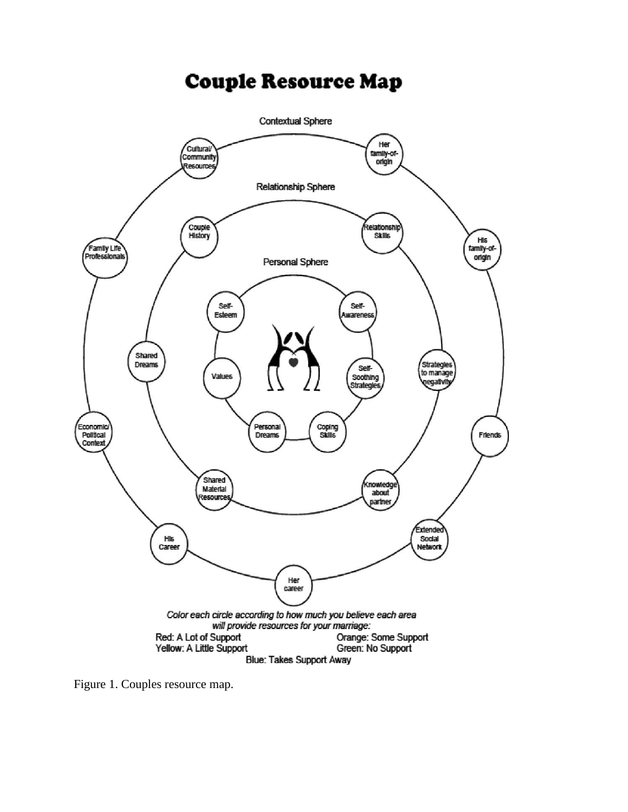# **Couple Resource Map**



Figure 1. Couples resource map.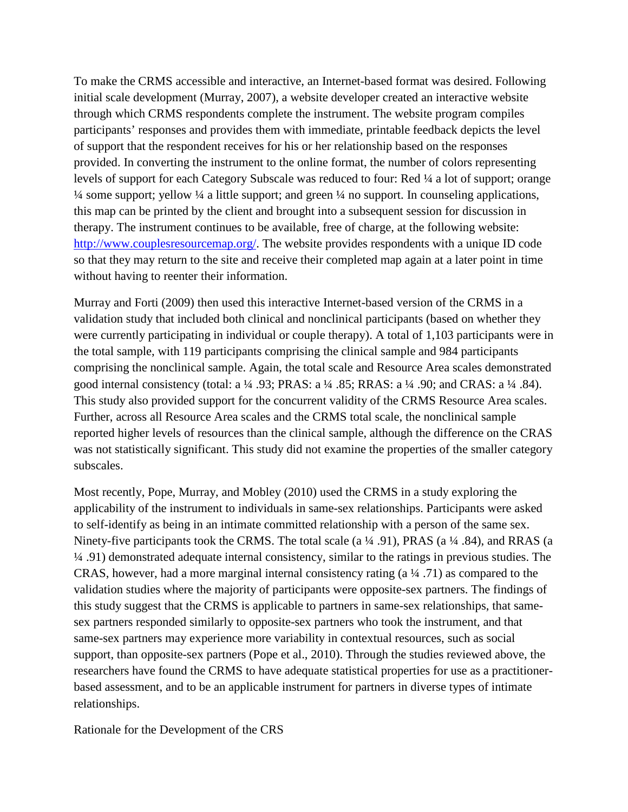To make the CRMS accessible and interactive, an Internet-based format was desired. Following initial scale development (Murray, 2007), a website developer created an interactive website through which CRMS respondents complete the instrument. The website program compiles participants' responses and provides them with immediate, printable feedback depicts the level of support that the respondent receives for his or her relationship based on the responses provided. In converting the instrument to the online format, the number of colors representing levels of support for each Category Subscale was reduced to four: Red ¼ a lot of support; orange  $\frac{1}{4}$  some support; yellow  $\frac{1}{4}$  a little support; and green  $\frac{1}{4}$  no support. In counseling applications, this map can be printed by the client and brought into a subsequent session for discussion in therapy. The instrument continues to be available, free of charge, at the following website: [http://www.couplesresourcemap.org/.](http://www.couplesresourcemap.org/) The website provides respondents with a unique ID code so that they may return to the site and receive their completed map again at a later point in time without having to reenter their information.

Murray and Forti (2009) then used this interactive Internet-based version of the CRMS in a validation study that included both clinical and nonclinical participants (based on whether they were currently participating in individual or couple therapy). A total of 1,103 participants were in the total sample, with 119 participants comprising the clinical sample and 984 participants comprising the nonclinical sample. Again, the total scale and Resource Area scales demonstrated good internal consistency (total: a ¼ .93; PRAS: a ¼ .85; RRAS: a ¼ .90; and CRAS: a ¼ .84). This study also provided support for the concurrent validity of the CRMS Resource Area scales. Further, across all Resource Area scales and the CRMS total scale, the nonclinical sample reported higher levels of resources than the clinical sample, although the difference on the CRAS was not statistically significant. This study did not examine the properties of the smaller category subscales.

Most recently, Pope, Murray, and Mobley (2010) used the CRMS in a study exploring the applicability of the instrument to individuals in same-sex relationships. Participants were asked to self-identify as being in an intimate committed relationship with a person of the same sex. Ninety-five participants took the CRMS. The total scale (a ¼ .91), PRAS (a ¼ .84), and RRAS (a ¼ .91) demonstrated adequate internal consistency, similar to the ratings in previous studies. The CRAS, however, had a more marginal internal consistency rating (a ¼ .71) as compared to the validation studies where the majority of participants were opposite-sex partners. The findings of this study suggest that the CRMS is applicable to partners in same-sex relationships, that samesex partners responded similarly to opposite-sex partners who took the instrument, and that same-sex partners may experience more variability in contextual resources, such as social support, than opposite-sex partners (Pope et al., 2010). Through the studies reviewed above, the researchers have found the CRMS to have adequate statistical properties for use as a practitionerbased assessment, and to be an applicable instrument for partners in diverse types of intimate relationships.

Rationale for the Development of the CRS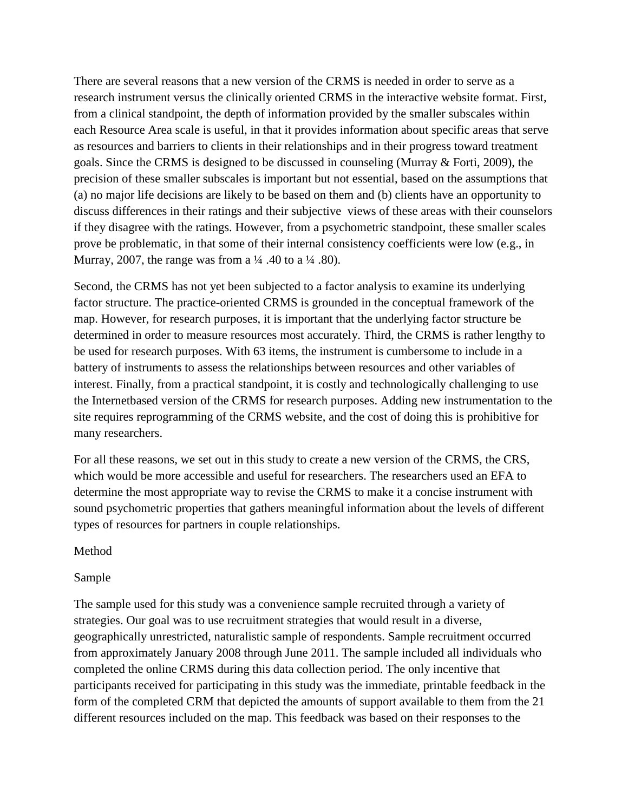There are several reasons that a new version of the CRMS is needed in order to serve as a research instrument versus the clinically oriented CRMS in the interactive website format. First, from a clinical standpoint, the depth of information provided by the smaller subscales within each Resource Area scale is useful, in that it provides information about specific areas that serve as resources and barriers to clients in their relationships and in their progress toward treatment goals. Since the CRMS is designed to be discussed in counseling (Murray & Forti, 2009), the precision of these smaller subscales is important but not essential, based on the assumptions that (a) no major life decisions are likely to be based on them and (b) clients have an opportunity to discuss differences in their ratings and their subjective views of these areas with their counselors if they disagree with the ratings. However, from a psychometric standpoint, these smaller scales prove be problematic, in that some of their internal consistency coefficients were low (e.g., in Murray, 2007, the range was from a  $\frac{1}{4}$ . 40 to a  $\frac{1}{4}$ . 80).

Second, the CRMS has not yet been subjected to a factor analysis to examine its underlying factor structure. The practice-oriented CRMS is grounded in the conceptual framework of the map. However, for research purposes, it is important that the underlying factor structure be determined in order to measure resources most accurately. Third, the CRMS is rather lengthy to be used for research purposes. With 63 items, the instrument is cumbersome to include in a battery of instruments to assess the relationships between resources and other variables of interest. Finally, from a practical standpoint, it is costly and technologically challenging to use the Internetbased version of the CRMS for research purposes. Adding new instrumentation to the site requires reprogramming of the CRMS website, and the cost of doing this is prohibitive for many researchers.

For all these reasons, we set out in this study to create a new version of the CRMS, the CRS, which would be more accessible and useful for researchers. The researchers used an EFA to determine the most appropriate way to revise the CRMS to make it a concise instrument with sound psychometric properties that gathers meaningful information about the levels of different types of resources for partners in couple relationships.

#### Method

#### Sample

The sample used for this study was a convenience sample recruited through a variety of strategies. Our goal was to use recruitment strategies that would result in a diverse, geographically unrestricted, naturalistic sample of respondents. Sample recruitment occurred from approximately January 2008 through June 2011. The sample included all individuals who completed the online CRMS during this data collection period. The only incentive that participants received for participating in this study was the immediate, printable feedback in the form of the completed CRM that depicted the amounts of support available to them from the 21 different resources included on the map. This feedback was based on their responses to the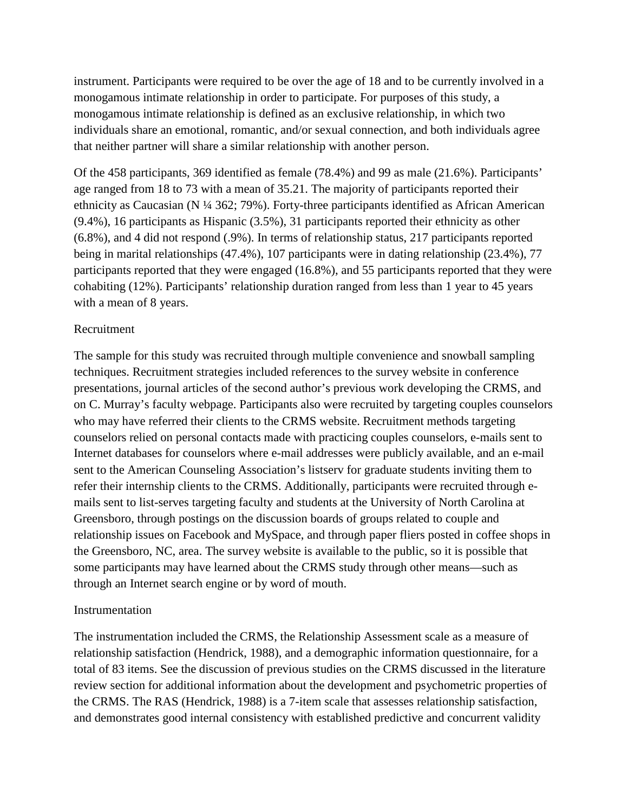instrument. Participants were required to be over the age of 18 and to be currently involved in a monogamous intimate relationship in order to participate. For purposes of this study, a monogamous intimate relationship is defined as an exclusive relationship, in which two individuals share an emotional, romantic, and/or sexual connection, and both individuals agree that neither partner will share a similar relationship with another person.

Of the 458 participants, 369 identified as female (78.4%) and 99 as male (21.6%). Participants' age ranged from 18 to 73 with a mean of 35.21. The majority of participants reported their ethnicity as Caucasian (N ¼ 362; 79%). Forty-three participants identified as African American (9.4%), 16 participants as Hispanic (3.5%), 31 participants reported their ethnicity as other (6.8%), and 4 did not respond (.9%). In terms of relationship status, 217 participants reported being in marital relationships (47.4%), 107 participants were in dating relationship (23.4%), 77 participants reported that they were engaged (16.8%), and 55 participants reported that they were cohabiting (12%). Participants' relationship duration ranged from less than 1 year to 45 years with a mean of 8 years.

#### Recruitment

The sample for this study was recruited through multiple convenience and snowball sampling techniques. Recruitment strategies included references to the survey website in conference presentations, journal articles of the second author's previous work developing the CRMS, and on C. Murray's faculty webpage. Participants also were recruited by targeting couples counselors who may have referred their clients to the CRMS website. Recruitment methods targeting counselors relied on personal contacts made with practicing couples counselors, e-mails sent to Internet databases for counselors where e-mail addresses were publicly available, and an e-mail sent to the American Counseling Association's listserv for graduate students inviting them to refer their internship clients to the CRMS. Additionally, participants were recruited through emails sent to list-serves targeting faculty and students at the University of North Carolina at Greensboro, through postings on the discussion boards of groups related to couple and relationship issues on Facebook and MySpace, and through paper fliers posted in coffee shops in the Greensboro, NC, area. The survey website is available to the public, so it is possible that some participants may have learned about the CRMS study through other means—such as through an Internet search engine or by word of mouth.

#### Instrumentation

The instrumentation included the CRMS, the Relationship Assessment scale as a measure of relationship satisfaction (Hendrick, 1988), and a demographic information questionnaire, for a total of 83 items. See the discussion of previous studies on the CRMS discussed in the literature review section for additional information about the development and psychometric properties of the CRMS. The RAS (Hendrick, 1988) is a 7-item scale that assesses relationship satisfaction, and demonstrates good internal consistency with established predictive and concurrent validity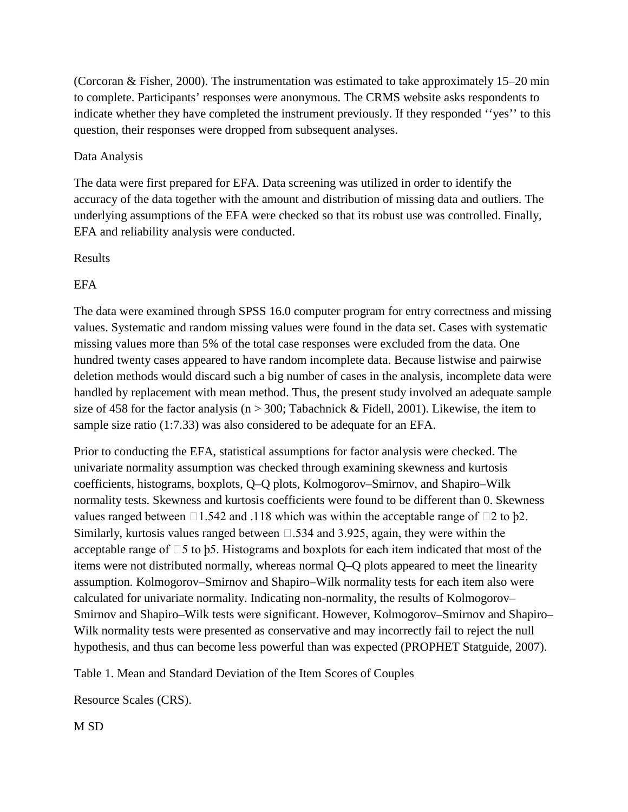(Corcoran & Fisher, 2000). The instrumentation was estimated to take approximately 15–20 min to complete. Participants' responses were anonymous. The CRMS website asks respondents to indicate whether they have completed the instrument previously. If they responded ''yes'' to this question, their responses were dropped from subsequent analyses.

## Data Analysis

The data were first prepared for EFA. Data screening was utilized in order to identify the accuracy of the data together with the amount and distribution of missing data and outliers. The underlying assumptions of the EFA were checked so that its robust use was controlled. Finally, EFA and reliability analysis were conducted.

#### Results

## EFA

The data were examined through SPSS 16.0 computer program for entry correctness and missing values. Systematic and random missing values were found in the data set. Cases with systematic missing values more than 5% of the total case responses were excluded from the data. One hundred twenty cases appeared to have random incomplete data. Because listwise and pairwise deletion methods would discard such a big number of cases in the analysis, incomplete data were handled by replacement with mean method. Thus, the present study involved an adequate sample size of 458 for the factor analysis ( $n > 300$ ; Tabachnick & Fidell, 2001). Likewise, the item to sample size ratio (1:7.33) was also considered to be adequate for an EFA.

Prior to conducting the EFA, statistical assumptions for factor analysis were checked. The univariate normality assumption was checked through examining skewness and kurtosis coefficients, histograms, boxplots, Q–Q plots, Kolmogorov–Smirnov, and Shapiro–Wilk normality tests. Skewness and kurtosis coefficients were found to be different than 0. Skewness values ranged between  $\Box$ 1.542 and .118 which was within the acceptable range of  $\Box$ 2 to  $\beta$ 2. Similarly, kurtosis values ranged between  $\Box$  534 and 3.925, again, they were within the acceptable range of  $\Box$ 5 to  $\beta$ 5. Histograms and boxplots for each item indicated that most of the items were not distributed normally, whereas normal Q–Q plots appeared to meet the linearity assumption. Kolmogorov–Smirnov and Shapiro–Wilk normality tests for each item also were calculated for univariate normality. Indicating non-normality, the results of Kolmogorov– Smirnov and Shapiro–Wilk tests were significant. However, Kolmogorov–Smirnov and Shapiro– Wilk normality tests were presented as conservative and may incorrectly fail to reject the null hypothesis, and thus can become less powerful than was expected (PROPHET Statguide, 2007).

Table 1. Mean and Standard Deviation of the Item Scores of Couples

Resource Scales (CRS).

M SD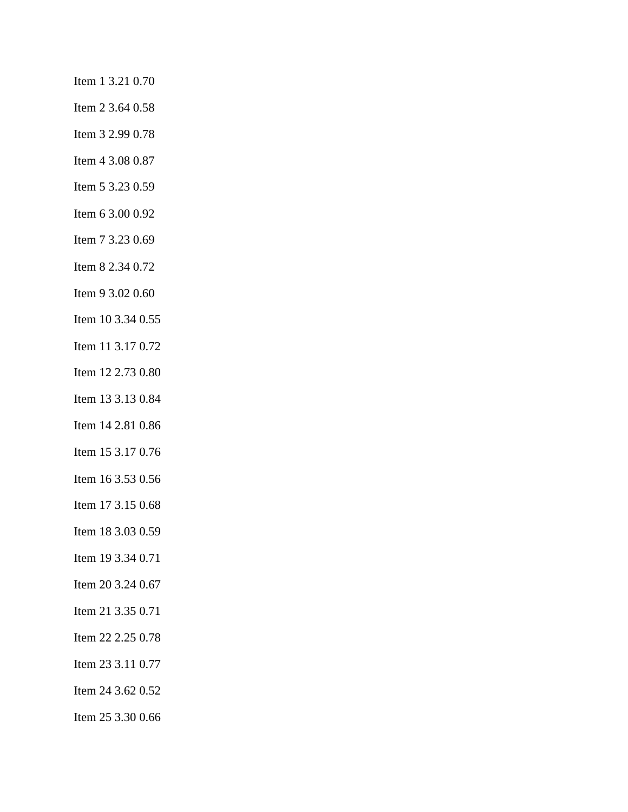- Item 1 3.21 0.70
- Item 2 3.64 0.58
- Item 3 2.99 0.78
- Item 4 3.08 0.87
- Item 5 3.23 0.59
- Item 6 3.00 0.92
- Item 7 3.23 0.69
- Item 8 2.34 0.72
- Item 9 3.02 0.60
- Item 10 3.34 0.55
- Item 11 3.17 0.72
- Item 12 2.73 0.80
- Item 13 3.13 0.84
- Item 14 2.81 0.86
- Item 15 3.17 0.76
- Item 16 3.53 0.56
- Item 17 3.15 0.68
- Item 18 3.03 0.59
- Item 19 3.34 0.71
- Item 20 3.24 0.67
- Item 21 3.35 0.71
- Item 22 2.25 0.78
- Item 23 3.11 0.77
- Item 24 3.62 0.52
- Item 25 3.30 0.66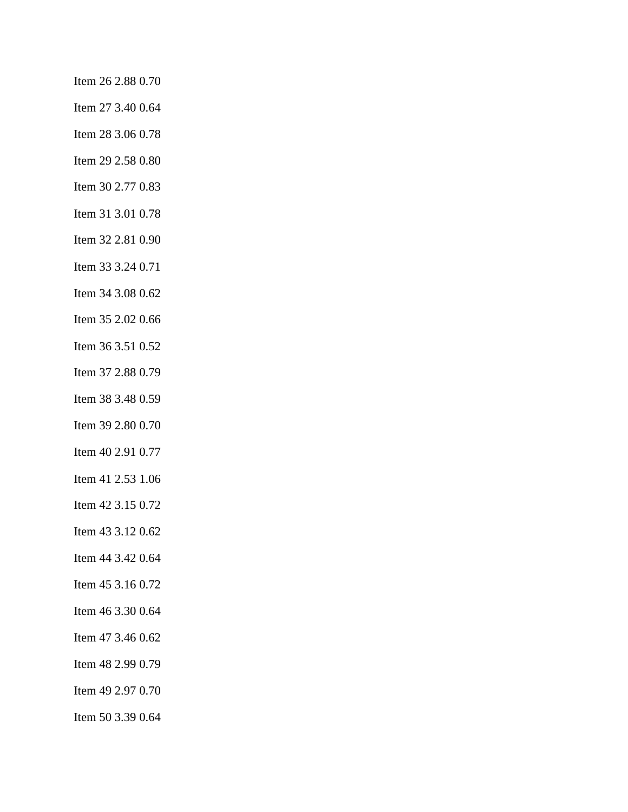- Item 26 2.88 0.70
- Item 27 3.40 0.64
- Item 28 3.06 0.78
- Item 29 2.58 0.80
- Item 30 2.77 0.83
- Item 31 3.01 0.78
- Item 32 2.81 0.90
- Item 33 3.24 0.71
- Item 34 3.08 0.62
- Item 35 2.02 0.66
- Item 36 3.51 0.52
- Item 37 2.88 0.79
- Item 38 3.48 0.59
- Item 39 2.80 0.70
- Item 40 2.91 0.77
- Item 41 2.53 1.06
- Item 42 3.15 0.72
- Item 43 3.12 0.62
- Item 44 3.42 0.64
- Item 45 3.16 0.72
- Item 46 3.30 0.64
- Item 47 3.46 0.62
- Item 48 2.99 0.79
- Item 49 2.97 0.70
- Item 50 3.39 0.64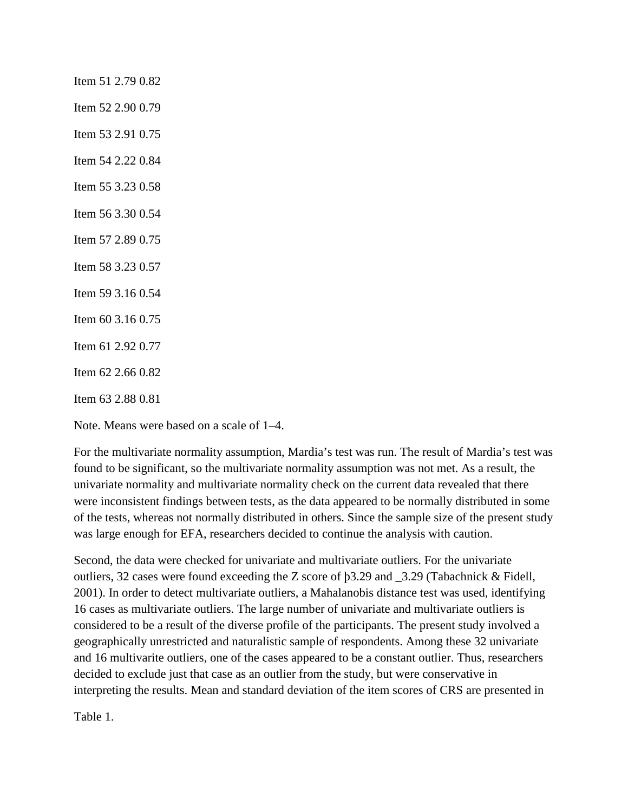| Item 51 2.79 0.82 |
|-------------------|
| Item 52 2.90 0.79 |
| Item 53 2.91 0.75 |
| Item 54 2.22 0.84 |
| Item 55 3.23 0.58 |
| Item 56 3.30 0.54 |
| Item 57 2.89 0.75 |
| Item 58 3.23 0.57 |
| Item 59 3.16 0.54 |
| Item 60 3.16 0.75 |
| Item 61 2.92 0.77 |
| Item 62 2.66 0.82 |
| Item 63 2.88 0.81 |

Note. Means were based on a scale of 1–4.

For the multivariate normality assumption, Mardia's test was run. The result of Mardia's test was found to be significant, so the multivariate normality assumption was not met. As a result, the univariate normality and multivariate normality check on the current data revealed that there were inconsistent findings between tests, as the data appeared to be normally distributed in some of the tests, whereas not normally distributed in others. Since the sample size of the present study was large enough for EFA, researchers decided to continue the analysis with caution.

Second, the data were checked for univariate and multivariate outliers. For the univariate outliers, 32 cases were found exceeding the Z score of þ3.29 and \_3.29 (Tabachnick & Fidell, 2001). In order to detect multivariate outliers, a Mahalanobis distance test was used, identifying 16 cases as multivariate outliers. The large number of univariate and multivariate outliers is considered to be a result of the diverse profile of the participants. The present study involved a geographically unrestricted and naturalistic sample of respondents. Among these 32 univariate and 16 multivarite outliers, one of the cases appeared to be a constant outlier. Thus, researchers decided to exclude just that case as an outlier from the study, but were conservative in interpreting the results. Mean and standard deviation of the item scores of CRS are presented in

Table 1.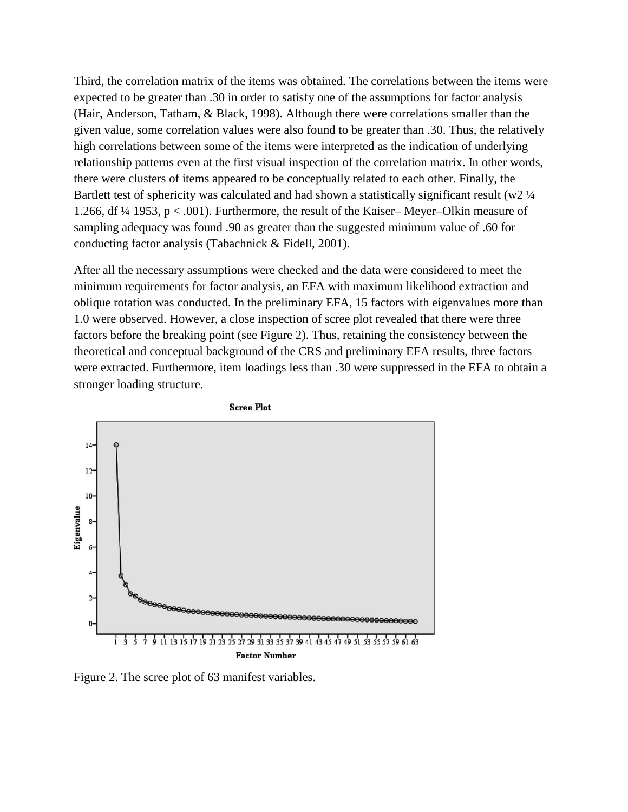Third, the correlation matrix of the items was obtained. The correlations between the items were expected to be greater than .30 in order to satisfy one of the assumptions for factor analysis (Hair, Anderson, Tatham, & Black, 1998). Although there were correlations smaller than the given value, some correlation values were also found to be greater than .30. Thus, the relatively high correlations between some of the items were interpreted as the indication of underlying relationship patterns even at the first visual inspection of the correlation matrix. In other words, there were clusters of items appeared to be conceptually related to each other. Finally, the Bartlett test of sphericity was calculated and had shown a statistically significant result (w2  $\frac{1}{4}$ 1.266, df ¼ 1953, p < .001). Furthermore, the result of the Kaiser– Meyer–Olkin measure of sampling adequacy was found .90 as greater than the suggested minimum value of .60 for conducting factor analysis (Tabachnick & Fidell, 2001).

After all the necessary assumptions were checked and the data were considered to meet the minimum requirements for factor analysis, an EFA with maximum likelihood extraction and oblique rotation was conducted. In the preliminary EFA, 15 factors with eigenvalues more than 1.0 were observed. However, a close inspection of scree plot revealed that there were three factors before the breaking point (see Figure 2). Thus, retaining the consistency between the theoretical and conceptual background of the CRS and preliminary EFA results, three factors were extracted. Furthermore, item loadings less than .30 were suppressed in the EFA to obtain a stronger loading structure.



**Scree Plot** 

Figure 2. The scree plot of 63 manifest variables.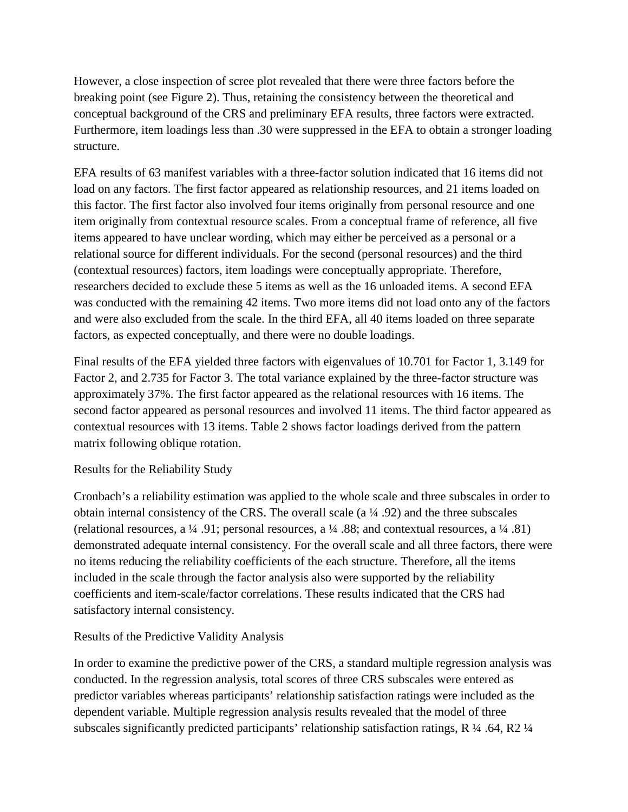However, a close inspection of scree plot revealed that there were three factors before the breaking point (see Figure 2). Thus, retaining the consistency between the theoretical and conceptual background of the CRS and preliminary EFA results, three factors were extracted. Furthermore, item loadings less than .30 were suppressed in the EFA to obtain a stronger loading structure.

EFA results of 63 manifest variables with a three-factor solution indicated that 16 items did not load on any factors. The first factor appeared as relationship resources, and 21 items loaded on this factor. The first factor also involved four items originally from personal resource and one item originally from contextual resource scales. From a conceptual frame of reference, all five items appeared to have unclear wording, which may either be perceived as a personal or a relational source for different individuals. For the second (personal resources) and the third (contextual resources) factors, item loadings were conceptually appropriate. Therefore, researchers decided to exclude these 5 items as well as the 16 unloaded items. A second EFA was conducted with the remaining 42 items. Two more items did not load onto any of the factors and were also excluded from the scale. In the third EFA, all 40 items loaded on three separate factors, as expected conceptually, and there were no double loadings.

Final results of the EFA yielded three factors with eigenvalues of 10.701 for Factor 1, 3.149 for Factor 2, and 2.735 for Factor 3. The total variance explained by the three-factor structure was approximately 37%. The first factor appeared as the relational resources with 16 items. The second factor appeared as personal resources and involved 11 items. The third factor appeared as contextual resources with 13 items. Table 2 shows factor loadings derived from the pattern matrix following oblique rotation.

## Results for the Reliability Study

Cronbach's a reliability estimation was applied to the whole scale and three subscales in order to obtain internal consistency of the CRS. The overall scale (a ¼ .92) and the three subscales (relational resources, a ¼ .91; personal resources, a ¼ .88; and contextual resources, a ¼ .81) demonstrated adequate internal consistency. For the overall scale and all three factors, there were no items reducing the reliability coefficients of the each structure. Therefore, all the items included in the scale through the factor analysis also were supported by the reliability coefficients and item-scale/factor correlations. These results indicated that the CRS had satisfactory internal consistency.

#### Results of the Predictive Validity Analysis

In order to examine the predictive power of the CRS, a standard multiple regression analysis was conducted. In the regression analysis, total scores of three CRS subscales were entered as predictor variables whereas participants' relationship satisfaction ratings were included as the dependent variable. Multiple regression analysis results revealed that the model of three subscales significantly predicted participants' relationship satisfaction ratings,  $R\frac{1}{4}$ .64,  $R2\frac{1}{4}$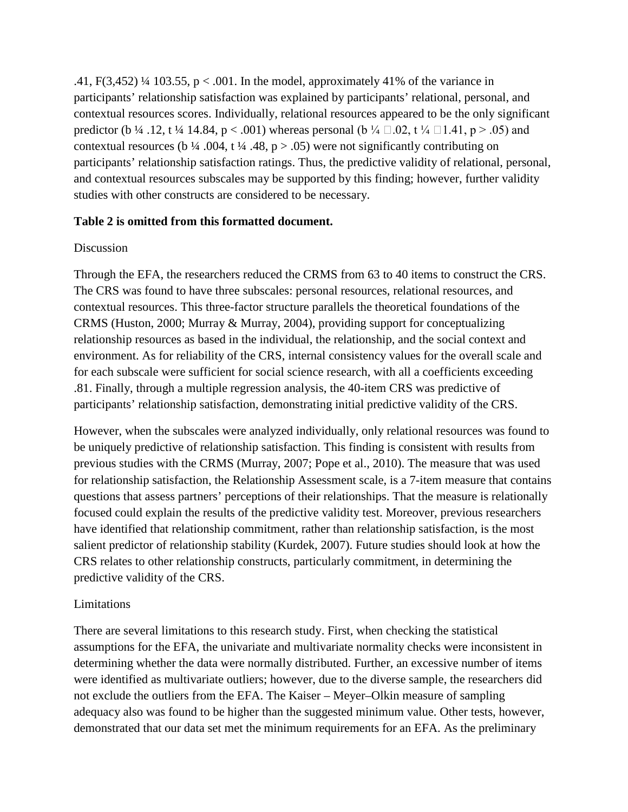.41, F(3,452)  $\frac{1}{4}$  103.55, p < .001. In the model, approximately 41% of the variance in participants' relationship satisfaction was explained by participants' relational, personal, and contextual resources scores. Individually, relational resources appeared to be the only significant predictor (b  $\frac{1}{4}$  .12, t  $\frac{1}{4}$  14.84, p < .001) whereas personal (b  $\frac{1}{4}$   $\Box$  .02, t  $\frac{1}{4}$   $\Box$  1.41, p > .05) and contextual resources (b  $\frac{1}{4}$  .004, t  $\frac{1}{4}$  .48, p > .05) were not significantly contributing on participants' relationship satisfaction ratings. Thus, the predictive validity of relational, personal, and contextual resources subscales may be supported by this finding; however, further validity studies with other constructs are considered to be necessary.

## **Table 2 is omitted from this formatted document.**

#### Discussion

Through the EFA, the researchers reduced the CRMS from 63 to 40 items to construct the CRS. The CRS was found to have three subscales: personal resources, relational resources, and contextual resources. This three-factor structure parallels the theoretical foundations of the CRMS (Huston, 2000; Murray & Murray, 2004), providing support for conceptualizing relationship resources as based in the individual, the relationship, and the social context and environment. As for reliability of the CRS, internal consistency values for the overall scale and for each subscale were sufficient for social science research, with all a coefficients exceeding .81. Finally, through a multiple regression analysis, the 40-item CRS was predictive of participants' relationship satisfaction, demonstrating initial predictive validity of the CRS.

However, when the subscales were analyzed individually, only relational resources was found to be uniquely predictive of relationship satisfaction. This finding is consistent with results from previous studies with the CRMS (Murray, 2007; Pope et al., 2010). The measure that was used for relationship satisfaction, the Relationship Assessment scale, is a 7-item measure that contains questions that assess partners' perceptions of their relationships. That the measure is relationally focused could explain the results of the predictive validity test. Moreover, previous researchers have identified that relationship commitment, rather than relationship satisfaction, is the most salient predictor of relationship stability (Kurdek, 2007). Future studies should look at how the CRS relates to other relationship constructs, particularly commitment, in determining the predictive validity of the CRS.

#### **Limitations**

There are several limitations to this research study. First, when checking the statistical assumptions for the EFA, the univariate and multivariate normality checks were inconsistent in determining whether the data were normally distributed. Further, an excessive number of items were identified as multivariate outliers; however, due to the diverse sample, the researchers did not exclude the outliers from the EFA. The Kaiser – Meyer–Olkin measure of sampling adequacy also was found to be higher than the suggested minimum value. Other tests, however, demonstrated that our data set met the minimum requirements for an EFA. As the preliminary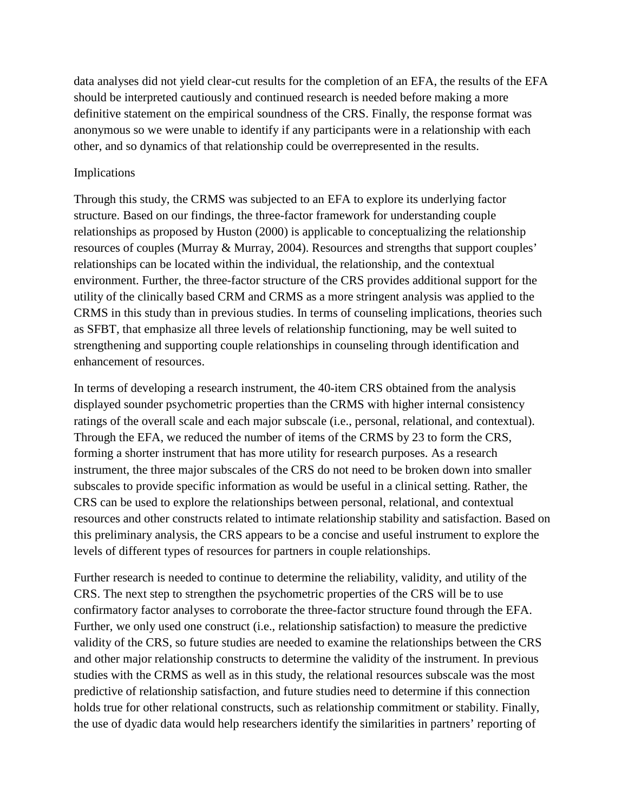data analyses did not yield clear-cut results for the completion of an EFA, the results of the EFA should be interpreted cautiously and continued research is needed before making a more definitive statement on the empirical soundness of the CRS. Finally, the response format was anonymous so we were unable to identify if any participants were in a relationship with each other, and so dynamics of that relationship could be overrepresented in the results.

#### Implications

Through this study, the CRMS was subjected to an EFA to explore its underlying factor structure. Based on our findings, the three-factor framework for understanding couple relationships as proposed by Huston (2000) is applicable to conceptualizing the relationship resources of couples (Murray & Murray, 2004). Resources and strengths that support couples' relationships can be located within the individual, the relationship, and the contextual environment. Further, the three-factor structure of the CRS provides additional support for the utility of the clinically based CRM and CRMS as a more stringent analysis was applied to the CRMS in this study than in previous studies. In terms of counseling implications, theories such as SFBT, that emphasize all three levels of relationship functioning, may be well suited to strengthening and supporting couple relationships in counseling through identification and enhancement of resources.

In terms of developing a research instrument, the 40-item CRS obtained from the analysis displayed sounder psychometric properties than the CRMS with higher internal consistency ratings of the overall scale and each major subscale (i.e., personal, relational, and contextual). Through the EFA, we reduced the number of items of the CRMS by 23 to form the CRS, forming a shorter instrument that has more utility for research purposes. As a research instrument, the three major subscales of the CRS do not need to be broken down into smaller subscales to provide specific information as would be useful in a clinical setting. Rather, the CRS can be used to explore the relationships between personal, relational, and contextual resources and other constructs related to intimate relationship stability and satisfaction. Based on this preliminary analysis, the CRS appears to be a concise and useful instrument to explore the levels of different types of resources for partners in couple relationships.

Further research is needed to continue to determine the reliability, validity, and utility of the CRS. The next step to strengthen the psychometric properties of the CRS will be to use confirmatory factor analyses to corroborate the three-factor structure found through the EFA. Further, we only used one construct (i.e., relationship satisfaction) to measure the predictive validity of the CRS, so future studies are needed to examine the relationships between the CRS and other major relationship constructs to determine the validity of the instrument. In previous studies with the CRMS as well as in this study, the relational resources subscale was the most predictive of relationship satisfaction, and future studies need to determine if this connection holds true for other relational constructs, such as relationship commitment or stability. Finally, the use of dyadic data would help researchers identify the similarities in partners' reporting of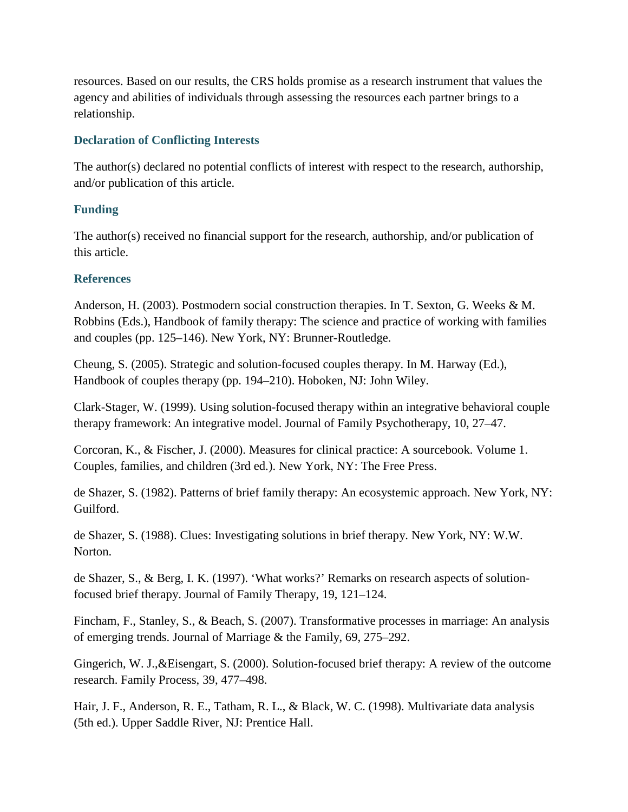resources. Based on our results, the CRS holds promise as a research instrument that values the agency and abilities of individuals through assessing the resources each partner brings to a relationship.

# **Declaration of Conflicting Interests**

The author(s) declared no potential conflicts of interest with respect to the research, authorship, and/or publication of this article.

# **Funding**

The author(s) received no financial support for the research, authorship, and/or publication of this article.

# **References**

Anderson, H. (2003). Postmodern social construction therapies. In T. Sexton, G. Weeks & M. Robbins (Eds.), Handbook of family therapy: The science and practice of working with families and couples (pp. 125–146). New York, NY: Brunner-Routledge.

Cheung, S. (2005). Strategic and solution-focused couples therapy. In M. Harway (Ed.), Handbook of couples therapy (pp. 194–210). Hoboken, NJ: John Wiley.

Clark-Stager, W. (1999). Using solution-focused therapy within an integrative behavioral couple therapy framework: An integrative model. Journal of Family Psychotherapy, 10, 27–47.

Corcoran, K., & Fischer, J. (2000). Measures for clinical practice: A sourcebook. Volume 1. Couples, families, and children (3rd ed.). New York, NY: The Free Press.

de Shazer, S. (1982). Patterns of brief family therapy: An ecosystemic approach. New York, NY: Guilford.

de Shazer, S. (1988). Clues: Investigating solutions in brief therapy. New York, NY: W.W. Norton.

de Shazer, S., & Berg, I. K. (1997). 'What works?' Remarks on research aspects of solutionfocused brief therapy. Journal of Family Therapy, 19, 121–124.

Fincham, F., Stanley, S., & Beach, S. (2007). Transformative processes in marriage: An analysis of emerging trends. Journal of Marriage & the Family, 69, 275–292.

Gingerich, W. J.,&Eisengart, S. (2000). Solution-focused brief therapy: A review of the outcome research. Family Process, 39, 477–498.

Hair, J. F., Anderson, R. E., Tatham, R. L., & Black, W. C. (1998). Multivariate data analysis (5th ed.). Upper Saddle River, NJ: Prentice Hall.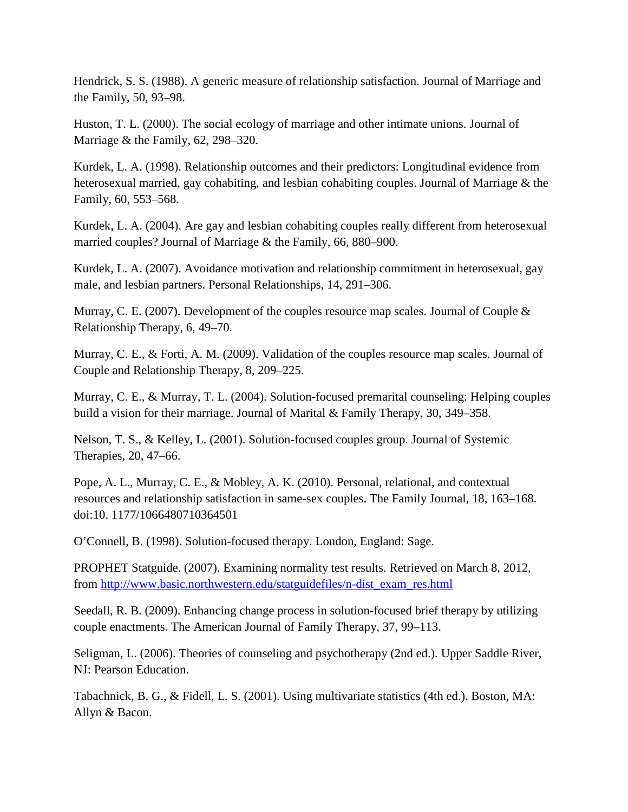Hendrick, S. S. (1988). A generic measure of relationship satisfaction. Journal of Marriage and the Family, 50, 93–98.

Huston, T. L. (2000). The social ecology of marriage and other intimate unions. Journal of Marriage & the Family, 62, 298–320.

Kurdek, L. A. (1998). Relationship outcomes and their predictors: Longitudinal evidence from heterosexual married, gay cohabiting, and lesbian cohabiting couples. Journal of Marriage & the Family, 60, 553–568.

Kurdek, L. A. (2004). Are gay and lesbian cohabiting couples really different from heterosexual married couples? Journal of Marriage & the Family, 66, 880–900.

Kurdek, L. A. (2007). Avoidance motivation and relationship commitment in heterosexual, gay male, and lesbian partners. Personal Relationships, 14, 291–306.

Murray, C. E. (2007). Development of the couples resource map scales. Journal of Couple & Relationship Therapy, 6, 49–70.

Murray, C. E., & Forti, A. M. (2009). Validation of the couples resource map scales. Journal of Couple and Relationship Therapy, 8, 209–225.

Murray, C. E., & Murray, T. L. (2004). Solution-focused premarital counseling: Helping couples build a vision for their marriage. Journal of Marital & Family Therapy, 30, 349–358.

Nelson, T. S., & Kelley, L. (2001). Solution-focused couples group. Journal of Systemic Therapies, 20, 47–66.

Pope, A. L., Murray, C. E., & Mobley, A. K. (2010). Personal, relational, and contextual resources and relationship satisfaction in same-sex couples. The Family Journal, 18, 163–168. doi:10. 1177/1066480710364501

O'Connell, B. (1998). Solution-focused therapy. London, England: Sage.

PROPHET Statguide. (2007). Examining normality test results. Retrieved on March 8, 2012, from [http://www.basic.northwestern.edu/statguidefiles/n-dist\\_exam\\_res.html](http://www.basic.northwestern.edu/statguidefiles/n-dist_exam_res.html)

Seedall, R. B. (2009). Enhancing change process in solution-focused brief therapy by utilizing couple enactments. The American Journal of Family Therapy, 37, 99–113.

Seligman, L. (2006). Theories of counseling and psychotherapy (2nd ed.). Upper Saddle River, NJ: Pearson Education.

Tabachnick, B. G., & Fidell, L. S. (2001). Using multivariate statistics (4th ed.). Boston, MA: Allyn & Bacon.